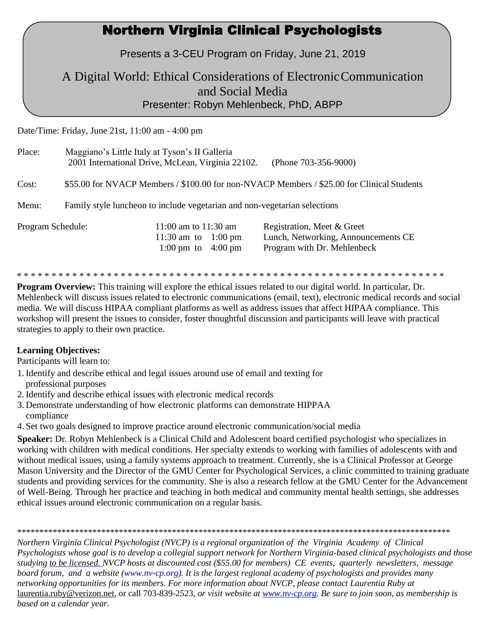## Northern Virginia Clinical Psychologists

Presents a 3-CEU Program on Friday, June 21, 2019

### A Digital World: Ethical Considerations of ElectronicCommunication and Social Media Presenter: Robyn Mehlenbeck, PhD, ABPP

Date/Time: Friday, June 21st, 11:00 am - 4:00 pm

| Place:            | Maggiano's Little Italy at Tyson's II Galleria                                             | 2001 International Drive, McLean, Virginia 22102.                             | (Phone 703-356-9000)                                                                             |
|-------------------|--------------------------------------------------------------------------------------------|-------------------------------------------------------------------------------|--------------------------------------------------------------------------------------------------|
| Cost:             | \$55.00 for NVACP Members / \$100.00 for non-NVACP Members / \$25.00 for Clinical Students |                                                                               |                                                                                                  |
| Menu:             | Family style luncheon to include vegetarian and non-vegetarian selections                  |                                                                               |                                                                                                  |
| Program Schedule: |                                                                                            | 11:00 am to $11:30$ am<br>11:30 am to 1:00 pm<br>1:00 pm to $4:00 \text{ pm}$ | Registration, Meet & Greet<br>Lunch, Networking, Announcements CE<br>Program with Dr. Mehlenbeck |

\* \* \* \* \* \* \* \* \* \* \* \* \* \* \* \* \* \* \* \* \* \* \* \* \* \* \* \* \* \* \* \* \* \* \* \* \* \* \* \* \* \* \* \* \* \* \* \* \* \* \* \* \* \* \* \* \* \* \* \* \* \*

**Program Overview:** This training will explore the ethical issues related to our digital world. In particular, Dr. Mehlenbeck will discuss issues related to electronic communications (email, text), electronic medical records and social media. We will discuss HIPAA compliant platforms as well as address issues that affect HIPAA compliance. This workshop will present the issues to consider, foster thoughtful discussion and participants will leave with practical strategies to apply to their own practice.

#### **Learning Objectives:**

Participants will learn to:

- 1. Identify and describe ethical and legal issues around use of email and texting for professional purposes
- 2. Identify and describe ethical issues with electronic medical records
- 3. Demonstrate understanding of how electronic platforms can demonstrate HIPPAA compliance
- 4. Set two goals designed to improve practice around electronic communication/social media

**Speaker:** Dr. Robyn Mehlenbeck is a Clinical Child and Adolescent board certified psychologist who specializes in working with children with medical conditions. Her specialty extends to working with families of adolescents with and without medical issues, using a family systems approach to treatment. Currently, she is a Clinical Professor at George Mason University and the Director of the GMU Center for Psychological Services, a clinic committed to training graduate students and providing services for the community. She is also a research fellow at the GMU Center for the Advancement of Well-Being. Through her practice and teaching in both medical and community mental health settings, she addresses ethical issues around electronic communication on a regular basis.

\*\*\*\*\*\*\*\*\*\*\*\*\*\*\*\*\*\*\*\*\*\*\*\*\*\*\*\*\*\*\*\*\*\*\*\*\*\*\*\*\*\*\*\*\*\*\*\*\*\*\*\*\*\*\*\*\*\*\*\*\*\*\*\*\*\*\*\*\*\*\*\*\*\*\*\*\*\*\*\*\*\*\*\*\*\*\*\*\*\*\*\*\*\*\*\*\*\*

*Northern Virginia Clinical Psychologist (NVCP) is a regional organization of the Virginia Academy of Clinical Psychologists whose goal is to develop a collegial support network for Northern Virginia-based clinical psychologists and those studying to be licensed. NVCP hosts at discounted cost (\$55.00 for members) CE events, quarterly newsletters, message board forum, and a website [\(www.nv-cp.org\).](http://www.nv-cp.org/) It is the largest regional academy of psychologists and provides many networking opportunities [for its m](http://www.nv-cp.org/)embers. For more information about NVCP, please contact Laurentia Ruby at*  [laurentia.ruby@verizon.net, o](mailto:laurentia.ruby@verizon.net)r call 703-839-2523*, or visit website at [www.nv-cp.org. B](http://www.nv-cp.org/)e sure to join soon, as membership is based on a calendar year.*